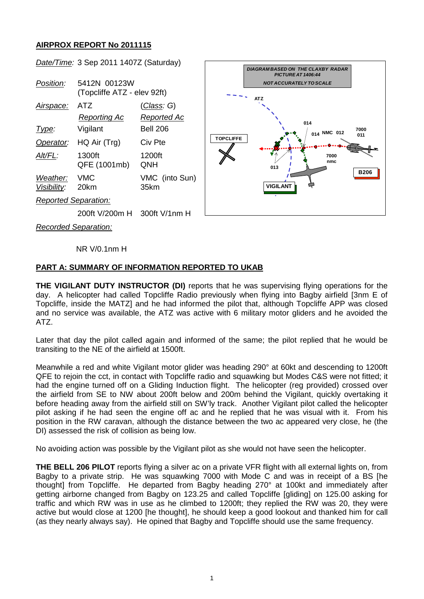## **AIRPROX REPORT No 2011115**



NR V/0.1nm H

## **PART A: SUMMARY OF INFORMATION REPORTED TO UKAB**

**THE VIGILANT DUTY INSTRUCTOR (DI)** reports that he was supervising flying operations for the day. A helicopter had called Topcliffe Radio previously when flying into Bagby airfield [3nm E of Topcliffe, inside the MATZ] and he had informed the pilot that, although Topcliffe APP was closed and no service was available, the ATZ was active with 6 military motor gliders and he avoided the ATZ.

Later that day the pilot called again and informed of the same; the pilot replied that he would be transiting to the NE of the airfield at 1500ft.

Meanwhile a red and white Vigilant motor glider was heading 290° at 60kt and descending to 1200ft QFE to rejoin the cct, in contact with Topcliffe radio and squawking but Modes C&S were not fitted; it had the engine turned off on a Gliding Induction flight. The helicopter (reg provided) crossed over the airfield from SE to NW about 200ft below and 200m behind the Vigilant, quickly overtaking it before heading away from the airfield still on SW'ly track. Another Vigilant pilot called the helicopter pilot asking if he had seen the engine off ac and he replied that he was visual with it. From his position in the RW caravan, although the distance between the two ac appeared very close, he (the DI) assessed the risk of collision as being low.

No avoiding action was possible by the Vigilant pilot as she would not have seen the helicopter.

**THE BELL 206 PILOT** reports flying a silver ac on a private VFR flight with all external lights on, from Bagby to a private strip. He was squawking 7000 with Mode C and was in receipt of a BS [he thought] from Topcliffe. He departed from Bagby heading 270° at 100kt and immediately after getting airborne changed from Bagby on 123.25 and called Topcliffe [gliding] on 125.00 asking for traffic and which RW was in use as he climbed to 1200ft; they replied the RW was 20, they were active but would close at 1200 [he thought], he should keep a good lookout and thanked him for call (as they nearly always say). He opined that Bagby and Topcliffe should use the same frequency.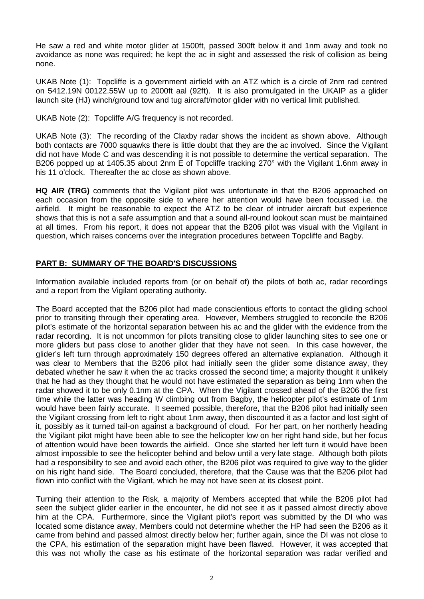He saw a red and white motor glider at 1500ft, passed 300ft below it and 1nm away and took no avoidance as none was required; he kept the ac in sight and assessed the risk of collision as being none.

UKAB Note (1): Topcliffe is a government airfield with an ATZ which is a circle of 2nm rad centred on 5412.19N 00122.55W up to 2000ft aal (92ft). It is also promulgated in the UKAIP as a glider launch site (HJ) winch/ground tow and tug aircraft/motor glider with no vertical limit published.

UKAB Note (2): Topcliffe A/G frequency is not recorded.

UKAB Note (3): The recording of the Claxby radar shows the incident as shown above. Although both contacts are 7000 squawks there is little doubt that they are the ac involved. Since the Vigilant did not have Mode C and was descending it is not possible to determine the vertical separation. The B206 popped up at 1405.35 about 2nm E of Topcliffe tracking 270° with the Vigilant 1.6nm away in his 11 o'clock. Thereafter the ac close as shown above.

**HQ AIR (TRG)** comments that the Vigilant pilot was unfortunate in that the B206 approached on each occasion from the opposite side to where her attention would have been focussed i.e. the airfield. It might be reasonable to expect the ATZ to be clear of intruder aircraft but experience shows that this is not a safe assumption and that a sound all-round lookout scan must be maintained at all times. From his report, it does not appear that the B206 pilot was visual with the Vigilant in question, which raises concerns over the integration procedures between Topcliffe and Bagby.

## **PART B: SUMMARY OF THE BOARD'S DISCUSSIONS**

Information available included reports from (or on behalf of) the pilots of both ac, radar recordings and a report from the Vigilant operating authority.

The Board accepted that the B206 pilot had made conscientious efforts to contact the gliding school prior to transiting through their operating area. However, Members struggled to reconcile the B206 pilot's estimate of the horizontal separation between his ac and the glider with the evidence from the radar recording. It is not uncommon for pilots transiting close to glider launching sites to see one or more gliders but pass close to another glider that they have not seen. In this case however, the glider's left turn through approximately 150 degrees offered an alternative explanation. Although it was clear to Members that the B206 pilot had initially seen the glider some distance away, they debated whether he saw it when the ac tracks crossed the second time; a majority thought it unlikely that he had as they thought that he would not have estimated the separation as being 1nm when the radar showed it to be only 0.1nm at the CPA. When the Vigilant crossed ahead of the B206 the first time while the latter was heading W climbing out from Bagby, the helicopter pilot's estimate of 1nm would have been fairly accurate. It seemed possible, therefore, that the B206 pilot had initially seen the Vigilant crossing from left to right about 1nm away, then discounted it as a factor and lost sight of it, possibly as it turned tail-on against a background of cloud. For her part, on her northerly heading the Vigilant pilot might have been able to see the helicopter low on her right hand side, but her focus of attention would have been towards the airfield. Once she started her left turn it would have been almost impossible to see the helicopter behind and below until a very late stage. Although both pilots had a responsibility to see and avoid each other, the B206 pilot was required to give way to the glider on his right hand side. The Board concluded, therefore, that the Cause was that the B206 pilot had flown into conflict with the Vigilant, which he may not have seen at its closest point.

Turning their attention to the Risk, a majority of Members accepted that while the B206 pilot had seen the subject glider earlier in the encounter, he did not see it as it passed almost directly above him at the CPA. Furthermore, since the Vigilant pilot's report was submitted by the DI who was located some distance away, Members could not determine whether the HP had seen the B206 as it came from behind and passed almost directly below her; further again, since the DI was not close to the CPA, his estimation of the separation might have been flawed. However, it was accepted that this was not wholly the case as his estimate of the horizontal separation was radar verified and